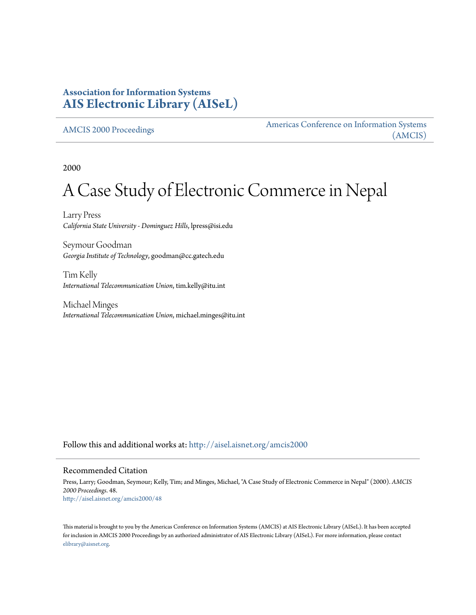## **Association for Information Systems [AIS Electronic Library \(AISeL\)](http://aisel.aisnet.org?utm_source=aisel.aisnet.org%2Famcis2000%2F48&utm_medium=PDF&utm_campaign=PDFCoverPages)**

[AMCIS 2000 Proceedings](http://aisel.aisnet.org/amcis2000?utm_source=aisel.aisnet.org%2Famcis2000%2F48&utm_medium=PDF&utm_campaign=PDFCoverPages)

[Americas Conference on Information Systems](http://aisel.aisnet.org/amcis?utm_source=aisel.aisnet.org%2Famcis2000%2F48&utm_medium=PDF&utm_campaign=PDFCoverPages) [\(AMCIS\)](http://aisel.aisnet.org/amcis?utm_source=aisel.aisnet.org%2Famcis2000%2F48&utm_medium=PDF&utm_campaign=PDFCoverPages)

2000

# A Case Study of Electronic Commerce in Nepal

Larry Press *California State University - Dominguez Hills*, lpress@isi.edu

Seymour Goodman *Georgia Institute of Technology*, goodman@cc.gatech.edu

Tim Kelly *International Telecommunication Union*, tim.kelly@itu.int

Michael Minges *International Telecommunication Union*, michael.minges@itu.int

Follow this and additional works at: [http://aisel.aisnet.org/amcis2000](http://aisel.aisnet.org/amcis2000?utm_source=aisel.aisnet.org%2Famcis2000%2F48&utm_medium=PDF&utm_campaign=PDFCoverPages)

#### Recommended Citation

Press, Larry; Goodman, Seymour; Kelly, Tim; and Minges, Michael, "A Case Study of Electronic Commerce in Nepal" (2000). *AMCIS 2000 Proceedings*. 48. [http://aisel.aisnet.org/amcis2000/48](http://aisel.aisnet.org/amcis2000/48?utm_source=aisel.aisnet.org%2Famcis2000%2F48&utm_medium=PDF&utm_campaign=PDFCoverPages)

This material is brought to you by the Americas Conference on Information Systems (AMCIS) at AIS Electronic Library (AISeL). It has been accepted for inclusion in AMCIS 2000 Proceedings by an authorized administrator of AIS Electronic Library (AISeL). For more information, please contact [elibrary@aisnet.org.](mailto:elibrary@aisnet.org%3E)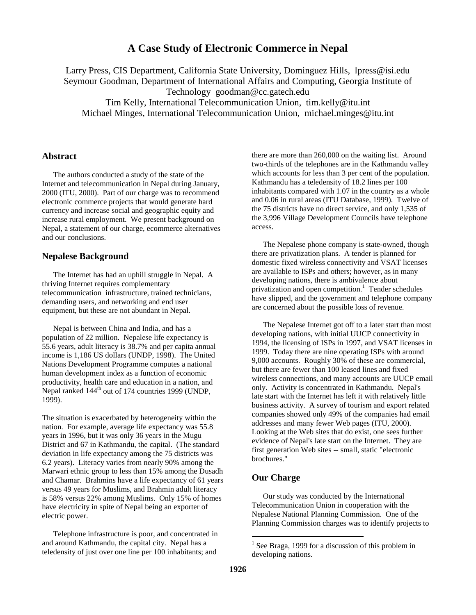## **A Case Study of Electronic Commerce in Nepal**

Larry Press, CIS Department, California State University, Dominguez Hills, lpress@isi.edu Seymour Goodman, Department of International Affairs and Computing, Georgia Institute of Technology goodman@cc.gatech.edu Tim Kelly, International Telecommunication Union, tim.kelly@itu.int Michael Minges, International Telecommunication Union, michael.minges@itu.int

#### **Abstract**

The authors conducted a study of the state of the Internet and telecommunication in Nepal during January, 2000 (ITU, 2000). Part of our charge was to recommend electronic commerce projects that would generate hard currency and increase social and geographic equity and increase rural employment. We present background on Nepal, a statement of our charge, ecommerce alternatives and our conclusions.

#### **Nepalese Background**

The Internet has had an uphill struggle in Nepal. A thriving Internet requires complementary telecommunication infrastructure, trained technicians, demanding users, and networking and end user equipment, but these are not abundant in Nepal.

Nepal is between China and India, and has a population of 22 million. Nepalese life expectancy is 55.6 years, adult literacy is 38.7% and per capita annual income is 1,186 US dollars (UNDP, 1998). The United Nations Development Programme computes a national human development index as a function of economic productivity, health care and education in a nation, and Nepal ranked 144<sup>th</sup> out of 174 countries 1999 (UNDP, 1999).

The situation is exacerbated by heterogeneity within the nation. For example, average life expectancy was 55.8 years in 1996, but it was only 36 years in the Mugu District and 67 in Kathmandu, the capital. (The standard deviation in life expectancy among the 75 districts was 6.2 years). Literacy varies from nearly 90% among the Marwari ethnic group to less than 15% among the Dusadh and Chamar. Brahmins have a life expectancy of 61 years versus 49 years for Muslims, and Brahmin adult literacy is 58% versus 22% among Muslims. Only 15% of homes have electricity in spite of Nepal being an exporter of electric power.

Telephone infrastructure is poor, and concentrated in and around Kathmandu, the capital city. Nepal has a teledensity of just over one line per 100 inhabitants; and

there are more than 260,000 on the waiting list. Around two-thirds of the telephones are in the Kathmandu valley which accounts for less than 3 per cent of the population. Kathmandu has a teledensity of 18.2 lines per 100 inhabitants compared with 1.07 in the country as a whole and 0.06 in rural areas (ITU Database, 1999). Twelve of the 75 districts have no direct service, and only 1,535 of the 3,996 Village Development Councils have telephone access.

The Nepalese phone company is state-owned, though there are privatization plans. A tender is planned for domestic fixed wireless connectivity and VSAT licenses are available to ISPs and others; however, as in many developing nations, there is ambivalence about privatization and open competition.<sup>1</sup> Tender schedules have slipped, and the government and telephone company are concerned about the possible loss of revenue.

The Nepalese Internet got off to a later start than most developing nations, with initial UUCP connectivity in 1994, the licensing of ISPs in 1997, and VSAT licenses in 1999. Today there are nine operating ISPs with around 9,000 accounts. Roughly 30% of these are commercial, but there are fewer than 100 leased lines and fixed wireless connections, and many accounts are UUCP email only. Activity is concentrated in Kathmandu. Nepal's late start with the Internet has left it with relatively little business activity. A survey of tourism and export related companies showed only 49% of the companies had email addresses and many fewer Web pages (ITU, 2000). Looking at the Web sites that do exist, one sees further evidence of Nepal's late start on the Internet. They are first generation Web sites -- small, static "electronic brochures."

#### **Our Charge**

Our study was conducted by the International Telecommunication Union in cooperation with the Nepalese National Planning Commission. One of the Planning Commission charges was to identify projects to

 $\overline{a}$ 

 $1$  See Braga, 1999 for a discussion of this problem in developing nations.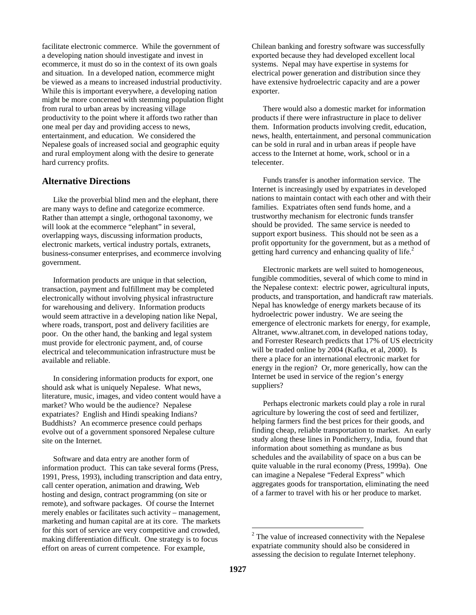facilitate electronic commerce. While the government of a developing nation should investigate and invest in ecommerce, it must do so in the context of its own goals and situation. In a developed nation, ecommerce might be viewed as a means to increased industrial productivity. While this is important everywhere, a developing nation might be more concerned with stemming population flight from rural to urban areas by increasing village productivity to the point where it affords two rather than one meal per day and providing access to news, entertainment, and education. We considered the Nepalese goals of increased social and geographic equity and rural employment along with the desire to generate hard currency profits.

#### **Alternative Directions**

Like the proverbial blind men and the elephant, there are many ways to define and categorize ecommerce. Rather than attempt a single, orthogonal taxonomy, we will look at the ecommerce "elephant" in several, overlapping ways, discussing information products, electronic markets, vertical industry portals, extranets, business-consumer enterprises, and ecommerce involving government.

Information products are unique in that selection, transaction, payment and fulfillment may be completed electronically without involving physical infrastructure for warehousing and delivery. Information products would seem attractive in a developing nation like Nepal, where roads, transport, post and delivery facilities are poor. On the other hand, the banking and legal system must provide for electronic payment, and, of course electrical and telecommunication infrastructure must be available and reliable.

In considering information products for export, one should ask what is uniquely Nepalese. What news, literature, music, images, and video content would have a market? Who would be the audience? Nepalese expatriates? English and Hindi speaking Indians? Buddhists? An ecommerce presence could perhaps evolve out of a government sponsored Nepalese culture site on the Internet.

Software and data entry are another form of information product. This can take several forms (Press, 1991, Press, 1993), including transcription and data entry, call center operation, animation and drawing, Web hosting and design, contract programming (on site or remote), and software packages. Of course the Internet merely enables or facilitates such activity – management, marketing and human capital are at its core. The markets for this sort of service are very competitive and crowded, making differentiation difficult. One strategy is to focus effort on areas of current competence. For example,

Chilean banking and forestry software was successfully exported because they had developed excellent local systems. Nepal may have expertise in systems for electrical power generation and distribution since they have extensive hydroelectric capacity and are a power exporter.

There would also a domestic market for information products if there were infrastructure in place to deliver them. Information products involving credit, education, news, health, entertainment, and personal communication can be sold in rural and in urban areas if people have access to the Internet at home, work, school or in a telecenter.

Funds transfer is another information service. The Internet is increasingly used by expatriates in developed nations to maintain contact with each other and with their families. Expatriates often send funds home, and a trustworthy mechanism for electronic funds transfer should be provided. The same service is needed to support export business. This should not be seen as a profit opportunity for the government, but as a method of getting hard currency and enhancing quality of life.<sup>2</sup>

Electronic markets are well suited to homogeneous, fungible commodities, several of which come to mind in the Nepalese context: electric power, agricultural inputs, products, and transportation, and handicraft raw materials. Nepal has knowledge of energy markets because of its hydroelectric power industry. We are seeing the emergence of electronic markets for energy, for example, Altranet, www.altranet.com, in developed nations today, and Forrester Research predicts that 17% of US electricity will be traded online by 2004 (Kafka, et al, 2000). Is there a place for an international electronic market for energy in the region? Or, more generically, how can the Internet be used in service of the region's energy suppliers?

Perhaps electronic markets could play a role in rural agriculture by lowering the cost of seed and fertilizer, helping farmers find the best prices for their goods, and finding cheap, reliable transportation to market. An early study along these lines in Pondicherry, India, found that information about something as mundane as bus schedules and the availability of space on a bus can be quite valuable in the rural economy (Press, 1999a). One can imagine a Nepalese "Federal Express" which aggregates goods for transportation, eliminating the need of a farmer to travel with his or her produce to market.

 $\overline{a}$ 

 $2$  The value of increased connectivity with the Nepalese expatriate community should also be considered in assessing the decision to regulate Internet telephony.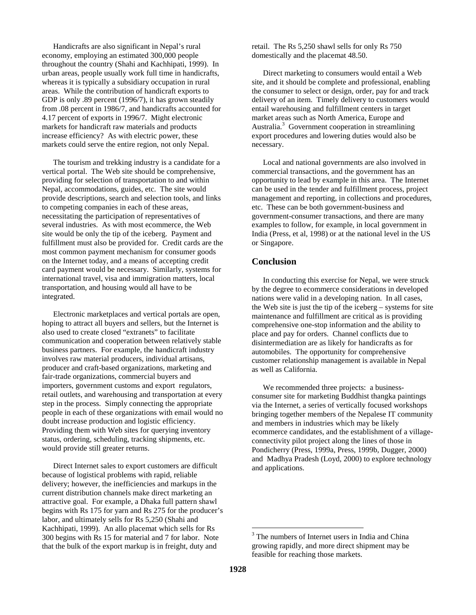Handicrafts are also significant in Nepal's rural economy, employing an estimated 300,000 people throughout the country (Shahi and Kachhipati, 1999). In urban areas, people usually work full time in handicrafts, whereas it is typically a subsidiary occupation in rural areas. While the contribution of handicraft exports to GDP is only .89 percent (1996/7), it has grown steadily from .08 percent in 1986/7, and handicrafts accounted for 4.17 percent of exports in 1996/7. Might electronic markets for handicraft raw materials and products increase efficiency? As with electric power, these markets could serve the entire region, not only Nepal.

The tourism and trekking industry is a candidate for a vertical portal. The Web site should be comprehensive, providing for selection of transportation to and within Nepal, accommodations, guides, etc. The site would provide descriptions, search and selection tools, and links to competing companies in each of these areas, necessitating the participation of representatives of several industries. As with most ecommerce, the Web site would be only the tip of the iceberg. Payment and fulfillment must also be provided for. Credit cards are the most common payment mechanism for consumer goods on the Internet today, and a means of accepting credit card payment would be necessary. Similarly, systems for international travel, visa and immigration matters, local transportation, and housing would all have to be integrated.

Electronic marketplaces and vertical portals are open, hoping to attract all buyers and sellers, but the Internet is also used to create closed "extranets" to facilitate communication and cooperation between relatively stable business partners. For example, the handicraft industry involves raw material producers, individual artisans, producer and craft-based organizations, marketing and fair-trade organizations, commercial buyers and importers, government customs and export regulators, retail outlets, and warehousing and transportation at every step in the process. Simply connecting the appropriate people in each of these organizations with email would no doubt increase production and logistic efficiency. Providing them with Web sites for querying inventory status, ordering, scheduling, tracking shipments, etc. would provide still greater returns.

Direct Internet sales to export customers are difficult because of logistical problems with rapid, reliable delivery; however, the inefficiencies and markups in the current distribution channels make direct marketing an attractive goal. For example, a Dhaka full pattern shawl begins with Rs 175 for yarn and Rs 275 for the producer's labor, and ultimately sells for Rs 5,250 (Shahi and Kachhipati, 1999). An allo placemat which sells for Rs 300 begins with Rs 15 for material and 7 for labor. Note that the bulk of the export markup is in freight, duty and

retail. The Rs 5,250 shawl sells for only Rs 750 domestically and the placemat 48.50.

Direct marketing to consumers would entail a Web site, and it should be complete and professional, enabling the consumer to select or design, order, pay for and track delivery of an item. Timely delivery to customers would entail warehousing and fulfillment centers in target market areas such as North America, Europe and Australia.<sup>3</sup> Government cooperation in streamlining export procedures and lowering duties would also be necessary.

Local and national governments are also involved in commercial transactions, and the government has an opportunity to lead by example in this area. The Internet can be used in the tender and fulfillment process, project management and reporting, in collections and procedures, etc. These can be both government-business and government-consumer transactions, and there are many examples to follow, for example, in local government in India (Press, et al, 1998) or at the national level in the US or Singapore.

#### **Conclusion**

In conducting this exercise for Nepal, we were struck by the degree to ecommerce considerations in developed nations were valid in a developing nation. In all cases, the Web site is just the tip of the iceberg – systems for site maintenance and fulfillment are critical as is providing comprehensive one-stop information and the ability to place and pay for orders. Channel conflicts due to disintermediation are as likely for handicrafts as for automobiles. The opportunity for comprehensive customer relationship management is available in Nepal as well as California.

We recommended three projects: a businessconsumer site for marketing Buddhist thangka paintings via the Internet, a series of vertically focused workshops bringing together members of the Nepalese IT community and members in industries which may be likely ecommerce candidates, and the establishment of a villageconnectivity pilot project along the lines of those in Pondicherry (Press, 1999a, Press, 1999b, Dugger, 2000) and Madhya Pradesh (Loyd, 2000) to explore technology and applications.

 $\overline{a}$ 

<sup>&</sup>lt;sup>3</sup> The numbers of Internet users in India and China growing rapidly, and more direct shipment may be feasible for reaching those markets.